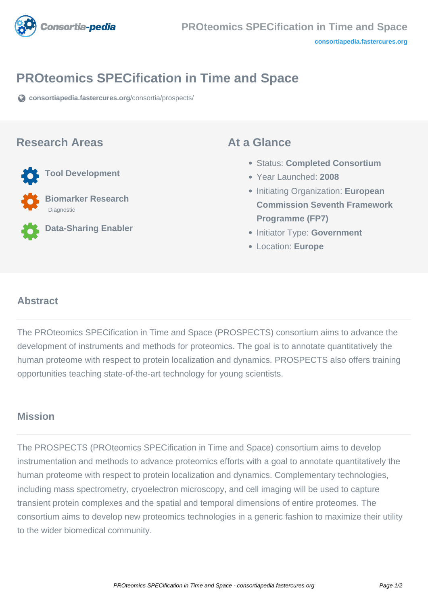

# **PROteomics SPECification in Time and Space**

**[consortiapedia.fastercures.org](https://consortiapedia.fastercures.org/consortia/prospects/)**[/consortia/prospects/](https://consortiapedia.fastercures.org/consortia/prospects/)

### **Research Areas**



 **Biomarker Research** Diagnostic

**Data-Sharing Enabler**

## **At a Glance**

- Status: **Completed Consortium**
- Year Launched: **2008**
- **Initiating Organization: European Commission Seventh Framework Programme (FP7)**
- **Initiator Type: Government**
- Location: **Europe**

### $\overline{a}$ **Abstract**

The PROteomics SPECification in Time and Space (PROSPECTS) consortium aims to advance the development of instruments and methods for proteomics. The goal is to annotate quantitatively the human proteome with respect to protein localization and dynamics. PROSPECTS also offers training opportunities teaching state-of-the-art technology for young scientists.

## **Mission**

The PROSPECTS (PROteomics SPECification in Time and Space) consortium aims to develop instrumentation and methods to advance proteomics efforts with a goal to annotate quantitatively the human proteome with respect to protein localization and dynamics. Complementary technologies, including mass spectrometry, cryoelectron microscopy, and cell imaging will be used to capture transient protein complexes and the spatial and temporal dimensions of entire proteomes. The consortium aims to develop new proteomics technologies in a generic fashion to maximize their utility to the wider biomedical community.